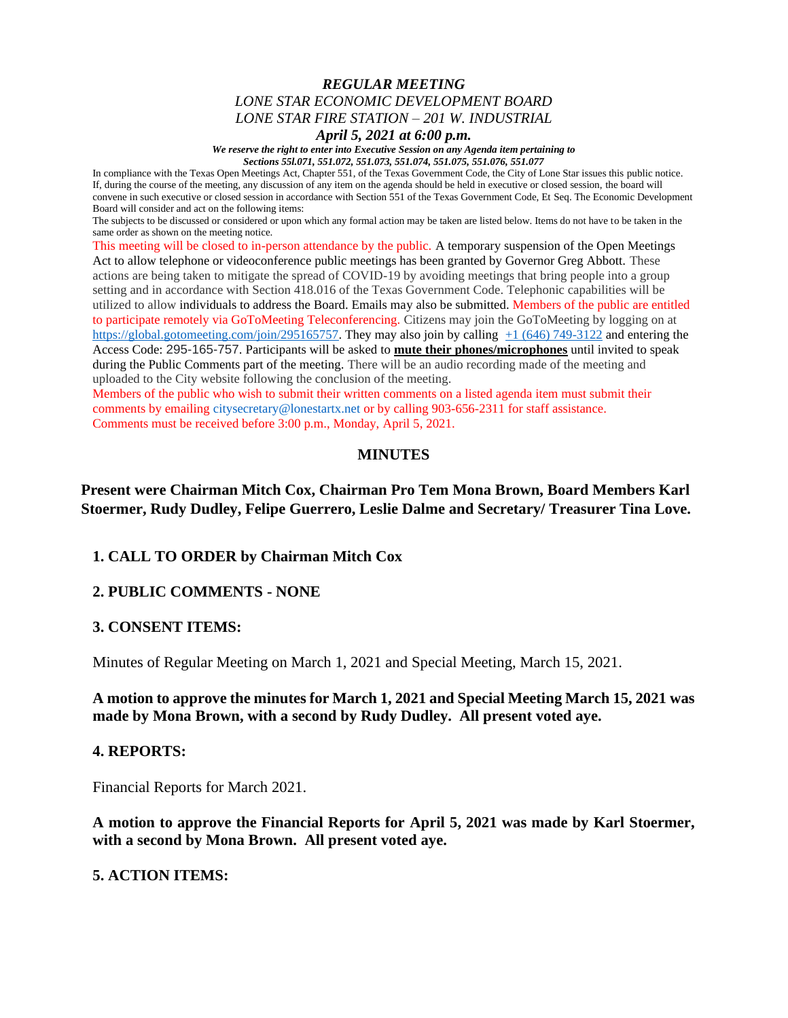## *REGULAR MEETING LONE STAR ECONOMIC DEVELOPMENT BOARD LONE STAR FIRE STATION – 201 W. INDUSTRIAL*

*April 5, 2021 at 6:00 p.m.*

*We reserve the right to enter into Executive Session on any Agenda item pertaining to Sections 55l.071, 551.072, 551.073, 551.074, 551.075, 551.076, 551.077*

In compliance with the Texas Open Meetings Act, Chapter 551, of the Texas Government Code, the City of Lone Star issues this public notice. If, during the course of the meeting, any discussion of any item on the agenda should be held in executive or closed session, the board will convene in such executive or closed session in accordance with Section 551 of the Texas Government Code, Et Seq. The Economic Development Board will consider and act on the following items:

The subjects to be discussed or considered or upon which any formal action may be taken are listed below. Items do not have to be taken in the same order as shown on the meeting notice.

This meeting will be closed to in-person attendance by the public. A temporary suspension of the Open Meetings Act to allow telephone or videoconference public meetings has been granted by Governor Greg Abbott. These actions are being taken to mitigate the spread of COVID-19 by avoiding meetings that bring people into a group setting and in accordance with Section 418.016 of the Texas Government Code. Telephonic capabilities will be utilized to allow individuals to address the Board. Emails may also be submitted. Members of the public are entitled to participate remotely via GoToMeeting Teleconferencing. Citizens may join the GoToMeeting by logging on at [https://global.gotomeeting.com/join/295165757.](https://global.gotomeeting.com/join/295165757) They may also join by calling  $+1$  (646) 749-3122 and entering the Access Code: 295-165-757. Participants will be asked to **mute their phones/microphones** until invited to speak during the Public Comments part of the meeting. There will be an audio recording made of the meeting and uploaded to the City website following the conclusion of the meeting.

Members of the public who wish to submit their written comments on a listed agenda item must submit their comments by emailing citysecretary@lonestartx.net or by calling 903-656-2311 for staff assistance. Comments must be received before 3:00 p.m., Monday, April 5, 2021.

## **MINUTES**

# **Present were Chairman Mitch Cox, Chairman Pro Tem Mona Brown, Board Members Karl Stoermer, Rudy Dudley, Felipe Guerrero, Leslie Dalme and Secretary/ Treasurer Tina Love.**

## **1. CALL TO ORDER by Chairman Mitch Cox**

## **2. PUBLIC COMMENTS - NONE**

## **3. CONSENT ITEMS:**

Minutes of Regular Meeting on March 1, 2021 and Special Meeting, March 15, 2021.

## **A motion to approve the minutes for March 1, 2021 and Special Meeting March 15, 2021 was made by Mona Brown, with a second by Rudy Dudley. All present voted aye.**

#### **4. REPORTS:**

Financial Reports for March 2021.

**A motion to approve the Financial Reports for April 5, 2021 was made by Karl Stoermer, with a second by Mona Brown. All present voted aye.**

## **5. ACTION ITEMS:**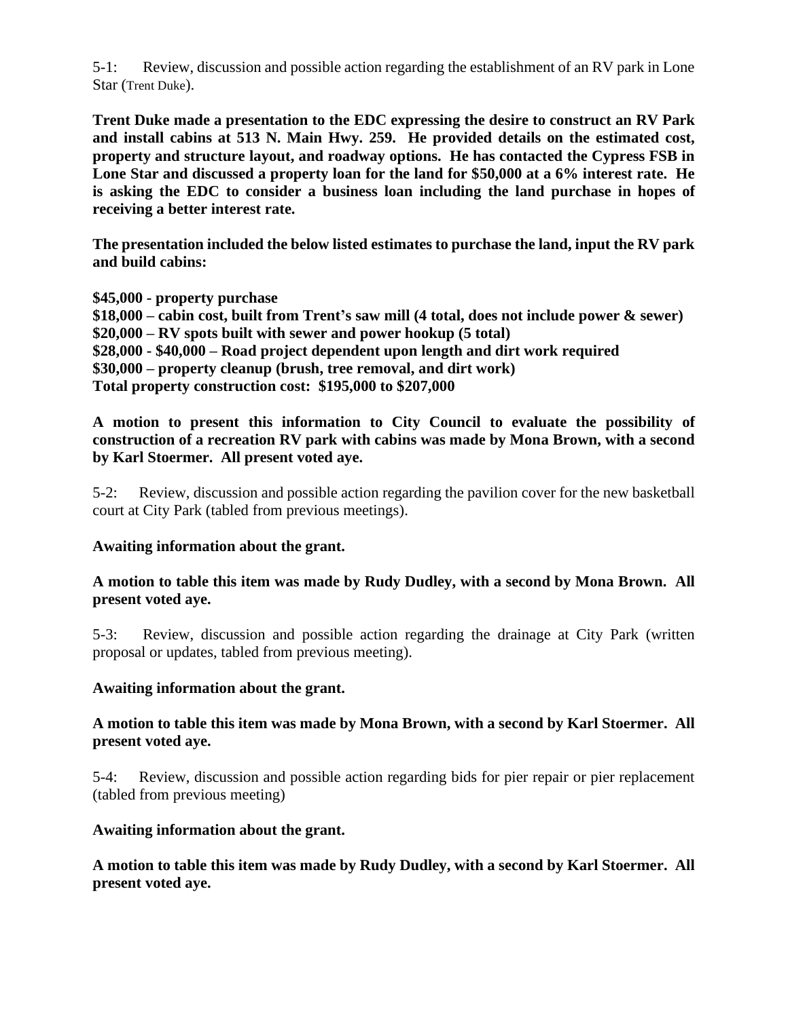5-1: Review, discussion and possible action regarding the establishment of an RV park in Lone Star (Trent Duke).

**Trent Duke made a presentation to the EDC expressing the desire to construct an RV Park and install cabins at 513 N. Main Hwy. 259. He provided details on the estimated cost, property and structure layout, and roadway options. He has contacted the Cypress FSB in Lone Star and discussed a property loan for the land for \$50,000 at a 6% interest rate. He is asking the EDC to consider a business loan including the land purchase in hopes of receiving a better interest rate.** 

**The presentation included the below listed estimates to purchase the land, input the RV park and build cabins:** 

**\$45,000 - property purchase \$18,000 – cabin cost, built from Trent's saw mill (4 total, does not include power & sewer) \$20,000 – RV spots built with sewer and power hookup (5 total) \$28,000 - \$40,000 – Road project dependent upon length and dirt work required \$30,000 – property cleanup (brush, tree removal, and dirt work) Total property construction cost: \$195,000 to \$207,000**

**A motion to present this information to City Council to evaluate the possibility of construction of a recreation RV park with cabins was made by Mona Brown, with a second by Karl Stoermer. All present voted aye.**

5-2: Review, discussion and possible action regarding the pavilion cover for the new basketball court at City Park (tabled from previous meetings).

## **Awaiting information about the grant.**

**A motion to table this item was made by Rudy Dudley, with a second by Mona Brown. All present voted aye.**

5-3: Review, discussion and possible action regarding the drainage at City Park (written proposal or updates, tabled from previous meeting).

## **Awaiting information about the grant.**

# **A motion to table this item was made by Mona Brown, with a second by Karl Stoermer. All present voted aye.**

5-4: Review, discussion and possible action regarding bids for pier repair or pier replacement (tabled from previous meeting)

## **Awaiting information about the grant.**

**A motion to table this item was made by Rudy Dudley, with a second by Karl Stoermer. All present voted aye.**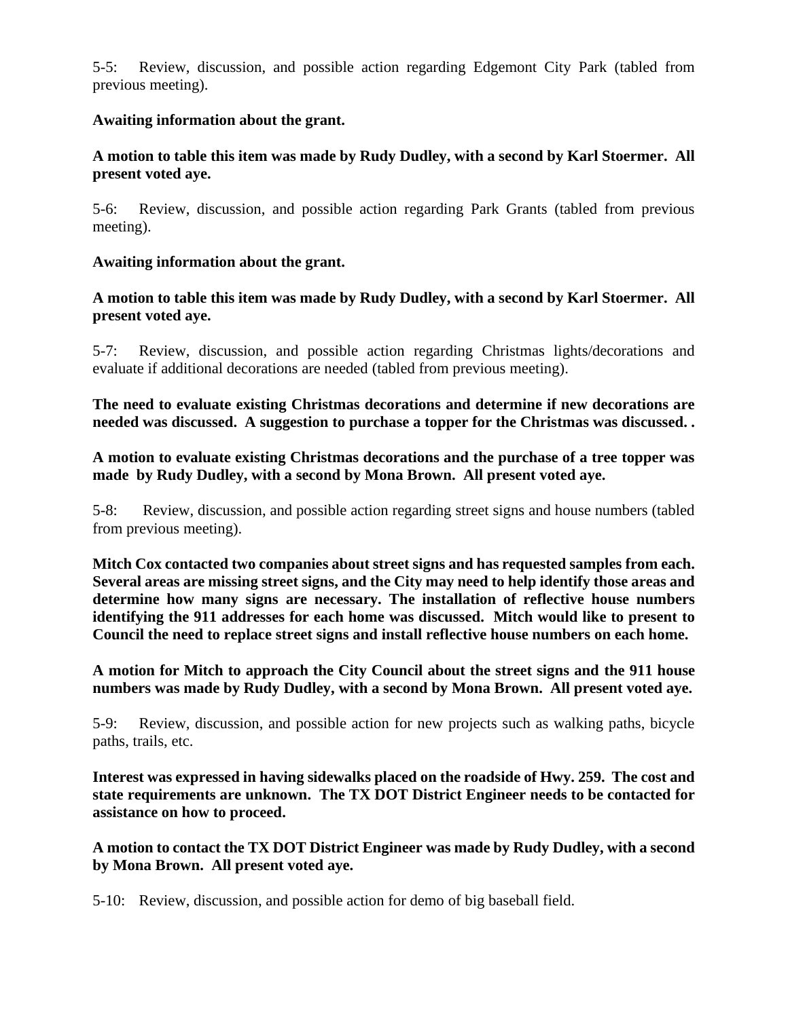5-5: Review, discussion, and possible action regarding Edgemont City Park (tabled from previous meeting).

# **Awaiting information about the grant.**

# **A motion to table this item was made by Rudy Dudley, with a second by Karl Stoermer. All present voted aye.**

5-6: Review, discussion, and possible action regarding Park Grants (tabled from previous meeting).

# **Awaiting information about the grant.**

# **A motion to table this item was made by Rudy Dudley, with a second by Karl Stoermer. All present voted aye.**

5-7: Review, discussion, and possible action regarding Christmas lights/decorations and evaluate if additional decorations are needed (tabled from previous meeting).

**The need to evaluate existing Christmas decorations and determine if new decorations are needed was discussed. A suggestion to purchase a topper for the Christmas was discussed. .** 

**A motion to evaluate existing Christmas decorations and the purchase of a tree topper was made by Rudy Dudley, with a second by Mona Brown. All present voted aye.**

5-8: Review, discussion, and possible action regarding street signs and house numbers (tabled from previous meeting).

**Mitch Cox contacted two companies about street signs and has requested samples from each. Several areas are missing street signs, and the City may need to help identify those areas and determine how many signs are necessary. The installation of reflective house numbers identifying the 911 addresses for each home was discussed. Mitch would like to present to Council the need to replace street signs and install reflective house numbers on each home.** 

**A motion for Mitch to approach the City Council about the street signs and the 911 house numbers was made by Rudy Dudley, with a second by Mona Brown. All present voted aye.**

5-9: Review, discussion, and possible action for new projects such as walking paths, bicycle paths, trails, etc.

**Interest was expressed in having sidewalks placed on the roadside of Hwy. 259. The cost and state requirements are unknown. The TX DOT District Engineer needs to be contacted for assistance on how to proceed.** 

**A motion to contact the TX DOT District Engineer was made by Rudy Dudley, with a second by Mona Brown. All present voted aye.**

5-10: Review, discussion, and possible action for demo of big baseball field.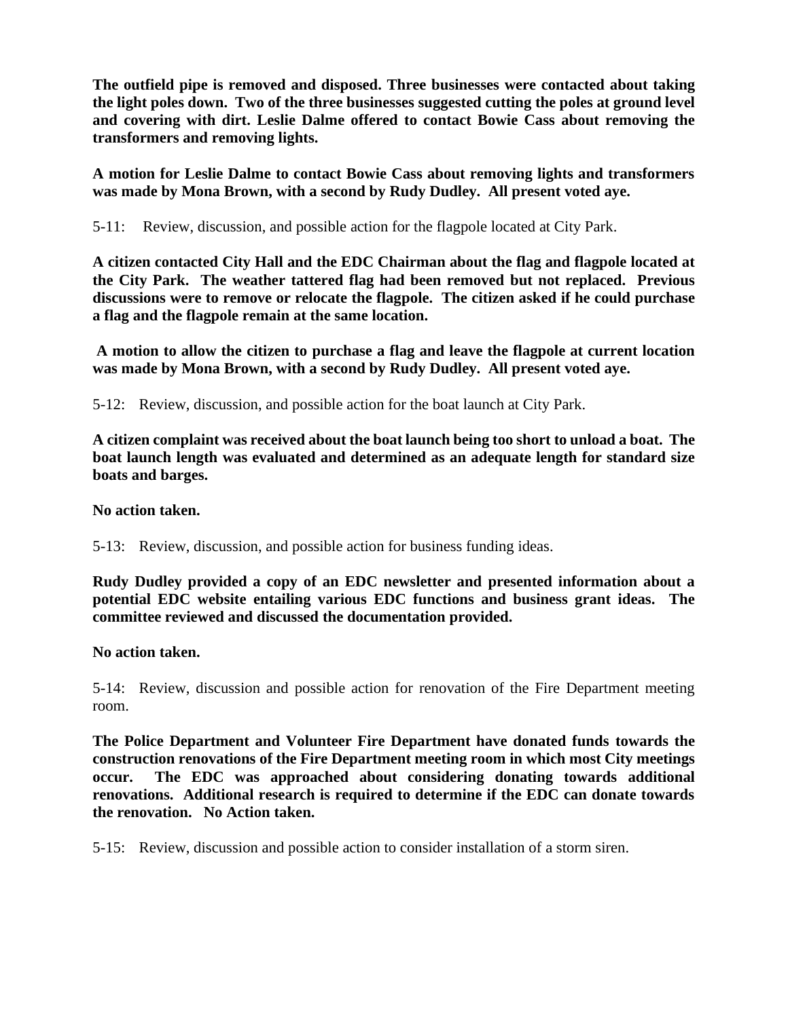**The outfield pipe is removed and disposed. Three businesses were contacted about taking the light poles down. Two of the three businesses suggested cutting the poles at ground level and covering with dirt. Leslie Dalme offered to contact Bowie Cass about removing the transformers and removing lights.**

**A motion for Leslie Dalme to contact Bowie Cass about removing lights and transformers was made by Mona Brown, with a second by Rudy Dudley. All present voted aye.**

5-11: Review, discussion, and possible action for the flagpole located at City Park.

**A citizen contacted City Hall and the EDC Chairman about the flag and flagpole located at the City Park. The weather tattered flag had been removed but not replaced. Previous discussions were to remove or relocate the flagpole. The citizen asked if he could purchase a flag and the flagpole remain at the same location.** 

**A motion to allow the citizen to purchase a flag and leave the flagpole at current location was made by Mona Brown, with a second by Rudy Dudley. All present voted aye.**

5-12: Review, discussion, and possible action for the boat launch at City Park.

**A citizen complaint was received about the boat launch being too short to unload a boat. The boat launch length was evaluated and determined as an adequate length for standard size boats and barges.** 

**No action taken.**

5-13: Review, discussion, and possible action for business funding ideas.

**Rudy Dudley provided a copy of an EDC newsletter and presented information about a potential EDC website entailing various EDC functions and business grant ideas. The committee reviewed and discussed the documentation provided.**

**No action taken.**

5-14: Review, discussion and possible action for renovation of the Fire Department meeting room.

**The Police Department and Volunteer Fire Department have donated funds towards the construction renovations of the Fire Department meeting room in which most City meetings occur. The EDC was approached about considering donating towards additional renovations. Additional research is required to determine if the EDC can donate towards the renovation. No Action taken.**

5-15: Review, discussion and possible action to consider installation of a storm siren.